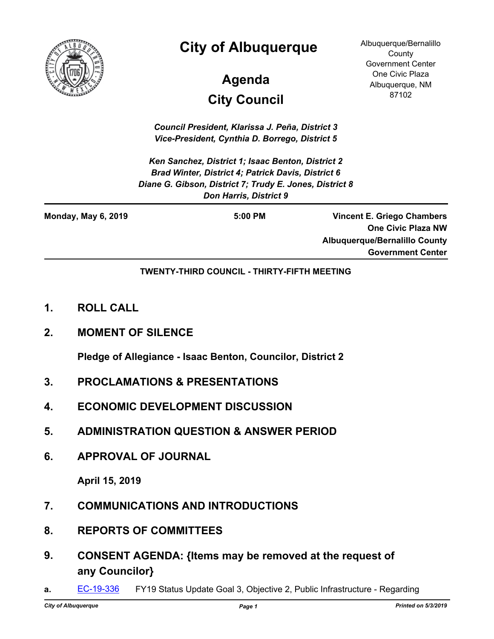

## **City of Albuquerque**

# **City Council Agenda**

Albuquerque/Bernalillo **County** Government Center One Civic Plaza Albuquerque, NM 87102

*Council President, Klarissa J. Peña, District 3 Vice-President, Cynthia D. Borrego, District 5*

*Ken Sanchez, District 1; Isaac Benton, District 2 Brad Winter, District 4; Patrick Davis, District 6 Diane G. Gibson, District 7; Trudy E. Jones, District 8 Don Harris, District 9*

| <b>Monday, May 6, 2019</b> | $5:00$ PM | <b>Vincent E. Griego Chambers</b>    |
|----------------------------|-----------|--------------------------------------|
|                            |           | <b>One Civic Plaza NW</b>            |
|                            |           | <b>Albuquerque/Bernalillo County</b> |
|                            |           | <b>Government Center</b>             |

**TWENTY-THIRD COUNCIL - THIRTY-FIFTH MEETING**

- **1. ROLL CALL**
- **2. MOMENT OF SILENCE**

**Pledge of Allegiance - Isaac Benton, Councilor, District 2**

- **3. PROCLAMATIONS & PRESENTATIONS**
- **4. ECONOMIC DEVELOPMENT DISCUSSION**
- **5. ADMINISTRATION QUESTION & ANSWER PERIOD**
- **6. APPROVAL OF JOURNAL**

**April 15, 2019**

- **7. COMMUNICATIONS AND INTRODUCTIONS**
- **8. REPORTS OF COMMITTEES**
- **9. CONSENT AGENDA: {Items may be removed at the request of any Councilor}**
- **a. [EC-19-336](http://cabq.legistar.com/gateway.aspx?m=l&id=/matter.aspx?key=11454)** FY19 Status Update Goal 3, Objective 2, Public Infrastructure Regarding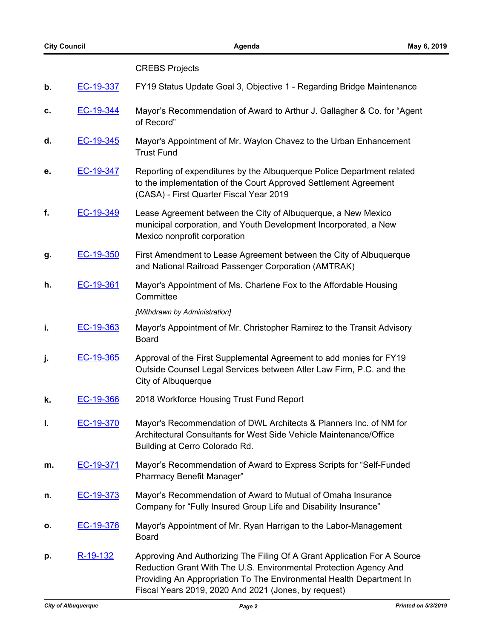CREBS Projects

### **b.** [EC-19-337](http://cabq.legistar.com/gateway.aspx?m=l&id=/matter.aspx?key=11455) FY19 Status Update Goal 3, Objective 1 - Regarding Bridge Maintenance **c.** [EC-19-344](http://cabq.legistar.com/gateway.aspx?m=l&id=/matter.aspx?key=11466) Mayor's Recommendation of Award to Arthur J. Gallagher & Co. for "Agent of Record" **d.** [EC-19-345](http://cabq.legistar.com/gateway.aspx?m=l&id=/matter.aspx?key=11467) Mayor's Appointment of Mr. Waylon Chavez to the Urban Enhancement Trust Fund **e.** [EC-19-347](http://cabq.legistar.com/gateway.aspx?m=l&id=/matter.aspx?key=11469) Reporting of expenditures by the Albuquerque Police Department related to the implementation of the Court Approved Settlement Agreement (CASA) - First Quarter Fiscal Year 2019 **f.** [EC-19-349](http://cabq.legistar.com/gateway.aspx?m=l&id=/matter.aspx?key=11471) Lease Agreement between the City of Albuquerque, a New Mexico municipal corporation, and Youth Development Incorporated, a New Mexico nonprofit corporation **g.** [EC-19-350](http://cabq.legistar.com/gateway.aspx?m=l&id=/matter.aspx?key=11472) First Amendment to Lease Agreement between the City of Albuquerque and National Railroad Passenger Corporation (AMTRAK) **h.** [EC-19-361](http://cabq.legistar.com/gateway.aspx?m=l&id=/matter.aspx?key=11490) Mayor's Appointment of Ms. Charlene Fox to the Affordable Housing **Committee** *[Withdrawn by Administration]* **i. [EC-19-363](http://cabq.legistar.com/gateway.aspx?m=l&id=/matter.aspx?key=11492)** Mayor's Appointment of Mr. Christopher Ramirez to the Transit Advisory Board **j. [EC-19-365](http://cabq.legistar.com/gateway.aspx?m=l&id=/matter.aspx?key=11494)** Approval of the First Supplemental Agreement to add monies for FY19 Outside Counsel Legal Services between Atler Law Firm, P.C. and the City of Albuquerque **k.** [EC-19-366](http://cabq.legistar.com/gateway.aspx?m=l&id=/matter.aspx?key=11495) 2018 Workforce Housing Trust Fund Report **l.** [EC-19-370](http://cabq.legistar.com/gateway.aspx?m=l&id=/matter.aspx?key=11509) Mayor's Recommendation of DWL Architects & Planners Inc. of NM for Architectural Consultants for West Side Vehicle Maintenance/Office Building at Cerro Colorado Rd. **m.** [EC-19-371](http://cabq.legistar.com/gateway.aspx?m=l&id=/matter.aspx?key=11510) Mayor's Recommendation of Award to Express Scripts for "Self-Funded Pharmacy Benefit Manager" **n.** [EC-19-373](http://cabq.legistar.com/gateway.aspx?m=l&id=/matter.aspx?key=11512) Mayor's Recommendation of Award to Mutual of Omaha Insurance Company for "Fully Insured Group Life and Disability Insurance" **o.** [EC-19-376](http://cabq.legistar.com/gateway.aspx?m=l&id=/matter.aspx?key=11523) Mayor's Appointment of Mr. Ryan Harrigan to the Labor-Management Board **p.** [R-19-132](http://cabq.legistar.com/gateway.aspx?m=l&id=/matter.aspx?key=11478) Approving And Authorizing The Filing Of A Grant Application For A Source Reduction Grant With The U.S. Environmental Protection Agency And Providing An Appropriation To The Environmental Health Department In

Fiscal Years 2019, 2020 And 2021 (Jones, by request)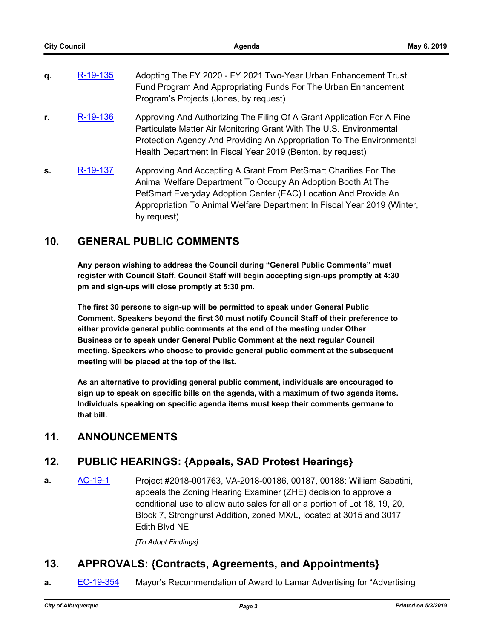| q. | R-19-135 | Adopting The FY 2020 - FY 2021 Two-Year Urban Enhancement Trust<br>Fund Program And Appropriating Funds For The Urban Enhancement<br>Program's Projects (Jones, by request)                                                                                                          |
|----|----------|--------------------------------------------------------------------------------------------------------------------------------------------------------------------------------------------------------------------------------------------------------------------------------------|
| r. | R-19-136 | Approving And Authorizing The Filing Of A Grant Application For A Fine<br>Particulate Matter Air Monitoring Grant With The U.S. Environmental<br>Protection Agency And Providing An Appropriation To The Environmental<br>Health Department In Fiscal Year 2019 (Benton, by request) |
| S. | R-19-137 | Approving And Accepting A Grant From PetSmart Charities For The<br>Animal Welfare Department To Occupy An Adoption Booth At The<br>PetSmart Everyday Adoption Center (EAC) Location And Provide An<br>Appropriation To Animal Welfare Department In Fiscal Year 2019 (Winter,        |

#### **10. GENERAL PUBLIC COMMENTS**

by request)

**Any person wishing to address the Council during "General Public Comments" must register with Council Staff. Council Staff will begin accepting sign-ups promptly at 4:30 pm and sign-ups will close promptly at 5:30 pm.**

**The first 30 persons to sign-up will be permitted to speak under General Public Comment. Speakers beyond the first 30 must notify Council Staff of their preference to either provide general public comments at the end of the meeting under Other Business or to speak under General Public Comment at the next regular Council meeting. Speakers who choose to provide general public comment at the subsequent meeting will be placed at the top of the list.**

**As an alternative to providing general public comment, individuals are encouraged to sign up to speak on specific bills on the agenda, with a maximum of two agenda items. Individuals speaking on specific agenda items must keep their comments germane to that bill.**

#### **11. ANNOUNCEMENTS**

#### **12. PUBLIC HEARINGS: {Appeals, SAD Protest Hearings}**

**a.** [AC-19-1](http://cabq.legistar.com/gateway.aspx?m=l&id=/matter.aspx?key=11441) Project #2018-001763, VA-2018-00186, 00187, 00188: William Sabatini, appeals the Zoning Hearing Examiner (ZHE) decision to approve a conditional use to allow auto sales for all or a portion of Lot 18, 19, 20, Block 7, Stronghurst Addition, zoned MX/L, located at 3015 and 3017 Edith Blvd NE

*[To Adopt Findings]*

#### **13. APPROVALS: {Contracts, Agreements, and Appointments}**

**a.** [EC-19-354](http://cabq.legistar.com/gateway.aspx?m=l&id=/matter.aspx?key=11476) Mayor's Recommendation of Award to Lamar Advertising for "Advertising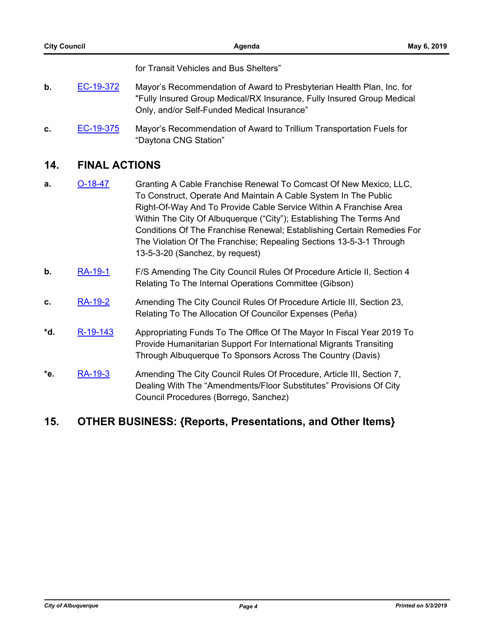for Transit Vehicles and Bus Shelters"

- **b.** [EC-19-372](http://cabq.legistar.com/gateway.aspx?m=l&id=/matter.aspx?key=11511) Mayor's Recommendation of Award to Presbyterian Health Plan, Inc. for "Fully Insured Group Medical/RX Insurance, Fully Insured Group Medical Only, and/or Self-Funded Medical Insurance"
- **c.** [EC-19-375](http://cabq.legistar.com/gateway.aspx?m=l&id=/matter.aspx?key=11514) Mayor's Recommendation of Award to Trillium Transportation Fuels for "Daytona CNG Station"

#### **14. FINAL ACTIONS**

- **a. [O-18-47](http://cabq.legistar.com/gateway.aspx?m=l&id=/matter.aspx?key=11371)** Granting A Cable Franchise Renewal To Comcast Of New Mexico, LLC, To Construct, Operate And Maintain A Cable System In The Public Right-Of-Way And To Provide Cable Service Within A Franchise Area Within The City Of Albuquerque ("City"); Establishing The Terms And Conditions Of The Franchise Renewal; Establishing Certain Remedies For The Violation Of The Franchise; Repealing Sections 13-5-3-1 Through 13-5-3-20 (Sanchez, by request)
- **b.** [RA-19-1](http://cabq.legistar.com/gateway.aspx?m=l&id=/matter.aspx?key=11423) F/S Amending The City Council Rules Of Procedure Article II, Section 4 Relating To The Internal Operations Committee (Gibson)
- **c.** [RA-19-2](http://cabq.legistar.com/gateway.aspx?m=l&id=/matter.aspx?key=11464) Amending The City Council Rules Of Procedure Article III, Section 23, Relating To The Allocation Of Councilor Expenses (Peña)
- \*d. [R-19-143](http://cabq.legistar.com/gateway.aspx?m=l&id=/matter.aspx?key=11524) Appropriating Funds To The Office Of The Mayor In Fiscal Year 2019 To Provide Humanitarian Support For International Migrants Transiting Through Albuquerque To Sponsors Across The Country (Davis)
- **\*e.** [RA-19-3](http://cabq.legistar.com/gateway.aspx?m=l&id=/matter.aspx?key=11562) Amending The City Council Rules Of Procedure, Article III, Section 7, Dealing With The "Amendments/Floor Substitutes" Provisions Of City Council Procedures (Borrego, Sanchez)

#### **15. OTHER BUSINESS: {Reports, Presentations, and Other Items}**